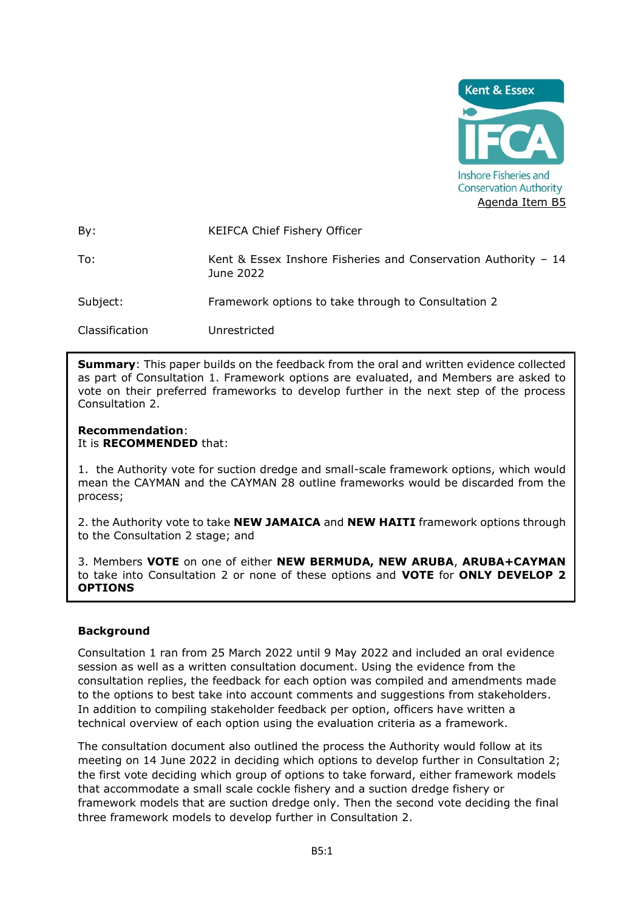

| By:            | KEIFCA Chief Fishery Officer                                                 |
|----------------|------------------------------------------------------------------------------|
| To:            | Kent & Essex Inshore Fisheries and Conservation Authority $-14$<br>June 2022 |
| Subject:       | Framework options to take through to Consultation 2                          |
| Classification | Unrestricted                                                                 |

**Summary**: This paper builds on the feedback from the oral and written evidence collected as part of Consultation 1. Framework options are evaluated, and Members are asked to vote on their preferred frameworks to develop further in the next step of the process Consultation 2.

#### **Recommendation**: It is **RECOMMENDED** that:

1. the Authority vote for suction dredge and small-scale framework options, which would mean the CAYMAN and the CAYMAN 28 outline frameworks would be discarded from the process;

2. the Authority vote to take **NEW JAMAICA** and **NEW HAITI** framework options through to the Consultation 2 stage; and

3. Members **VOTE** on one of either **NEW BERMUDA, NEW ARUBA**, **ARUBA+CAYMAN** to take into Consultation 2 or none of these options and **VOTE** for **ONLY DEVELOP 2 OPTIONS**

# **Background**

Consultation 1 ran from 25 March 2022 until 9 May 2022 and included an oral evidence session as well as a written consultation document. Using the evidence from the consultation replies, the feedback for each option was compiled and amendments made to the options to best take into account comments and suggestions from stakeholders. In addition to compiling stakeholder feedback per option, officers have written a technical overview of each option using the evaluation criteria as a framework.

The consultation document also outlined the process the Authority would follow at its meeting on 14 June 2022 in deciding which options to develop further in Consultation 2; the first vote deciding which group of options to take forward, either framework models that accommodate a small scale cockle fishery and a suction dredge fishery or framework models that are suction dredge only. Then the second vote deciding the final three framework models to develop further in Consultation 2.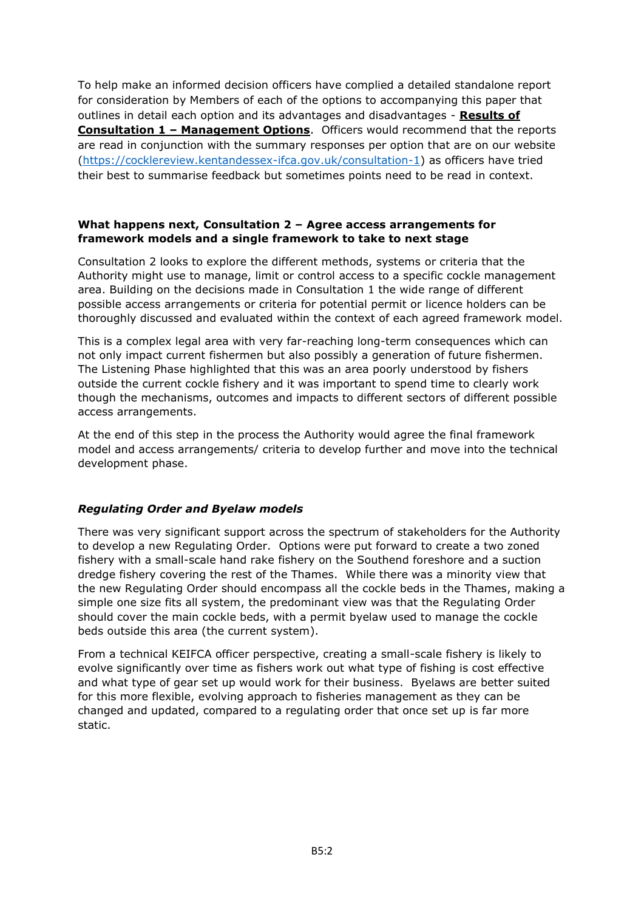To help make an informed decision officers have complied a detailed standalone report for consideration by Members of each of the options to accompanying this paper that outlines in detail each option and its advantages and disadvantages - **Results of Consultation 1 – Management Options**. Officers would recommend that the reports are read in conjunction with the summary responses per option that are on our website [\(https://cocklereview.kentandessex-ifca.gov.uk/consultation-1\)](https://cocklereview.kentandessex-ifca.gov.uk/consultation-1) as officers have tried their best to summarise feedback but sometimes points need to be read in context.

#### **What happens next, Consultation 2 – Agree access arrangements for framework models and a single framework to take to next stage**

Consultation 2 looks to explore the different methods, systems or criteria that the Authority might use to manage, limit or control access to a specific cockle management area. Building on the decisions made in Consultation 1 the wide range of different possible access arrangements or criteria for potential permit or licence holders can be thoroughly discussed and evaluated within the context of each agreed framework model.

This is a complex legal area with very far-reaching long-term consequences which can not only impact current fishermen but also possibly a generation of future fishermen. The Listening Phase highlighted that this was an area poorly understood by fishers outside the current cockle fishery and it was important to spend time to clearly work though the mechanisms, outcomes and impacts to different sectors of different possible access arrangements.

At the end of this step in the process the Authority would agree the final framework model and access arrangements/ criteria to develop further and move into the technical development phase.

# *Regulating Order and Byelaw models*

There was very significant support across the spectrum of stakeholders for the Authority to develop a new Regulating Order. Options were put forward to create a two zoned fishery with a small-scale hand rake fishery on the Southend foreshore and a suction dredge fishery covering the rest of the Thames. While there was a minority view that the new Regulating Order should encompass all the cockle beds in the Thames, making a simple one size fits all system, the predominant view was that the Regulating Order should cover the main cockle beds, with a permit byelaw used to manage the cockle beds outside this area (the current system).

From a technical KEIFCA officer perspective, creating a small-scale fishery is likely to evolve significantly over time as fishers work out what type of fishing is cost effective and what type of gear set up would work for their business. Byelaws are better suited for this more flexible, evolving approach to fisheries management as they can be changed and updated, compared to a regulating order that once set up is far more static.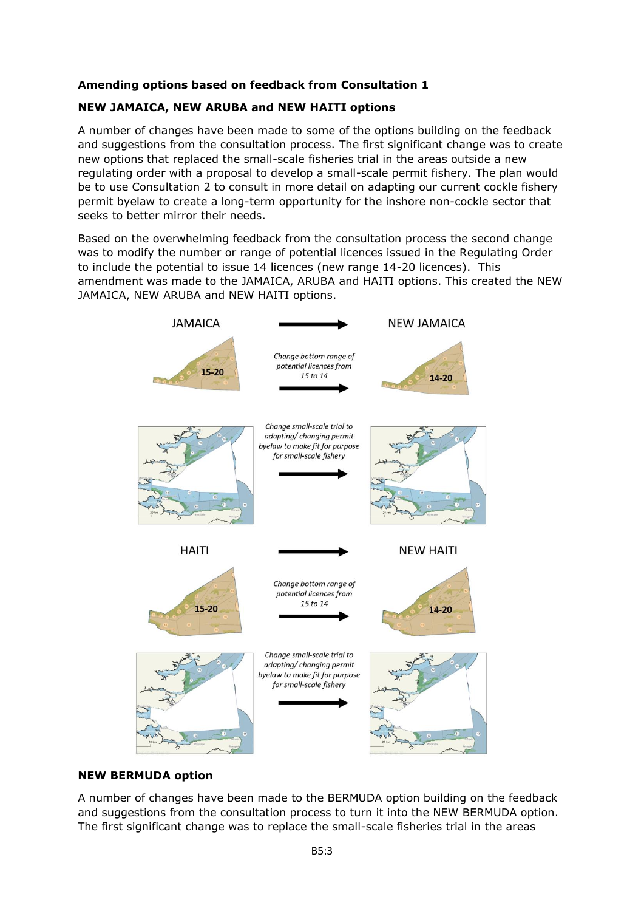# **Amending options based on feedback from Consultation 1**

# **NEW JAMAICA, NEW ARUBA and NEW HAITI options**

A number of changes have been made to some of the options building on the feedback and suggestions from the consultation process. The first significant change was to create new options that replaced the small-scale fisheries trial in the areas outside a new regulating order with a proposal to develop a small-scale permit fishery. The plan would be to use Consultation 2 to consult in more detail on adapting our current cockle fishery permit byelaw to create a long-term opportunity for the inshore non-cockle sector that seeks to better mirror their needs.

Based on the overwhelming feedback from the consultation process the second change was to modify the number or range of potential licences issued in the Regulating Order to include the potential to issue 14 licences (new range 14-20 licences). This amendment was made to the JAMAICA, ARUBA and HAITI options. This created the NEW JAMAICA, NEW ARUBA and NEW HAITI options.



#### **NEW BERMUDA option**

A number of changes have been made to the BERMUDA option building on the feedback and suggestions from the consultation process to turn it into the NEW BERMUDA option. The first significant change was to replace the small-scale fisheries trial in the areas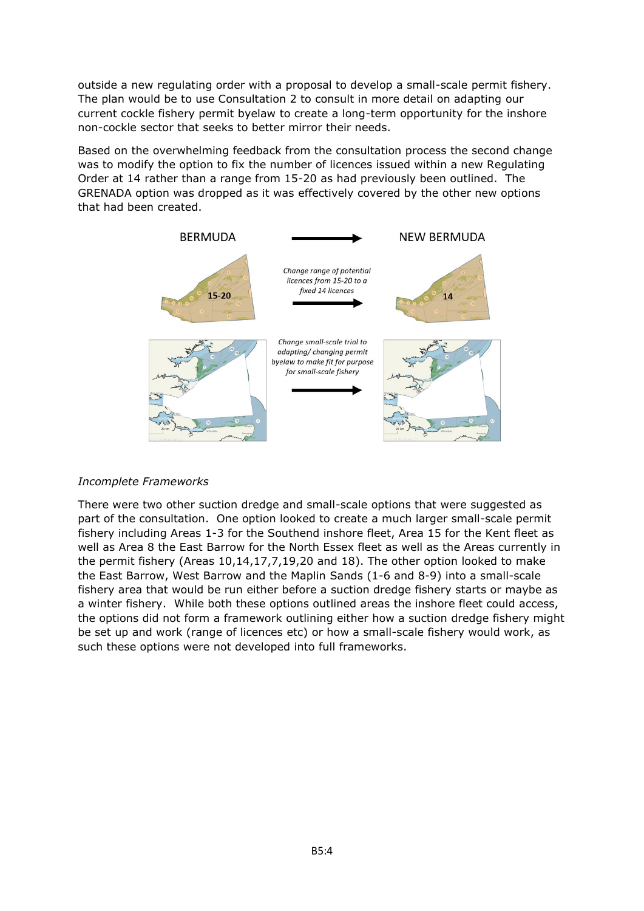outside a new regulating order with a proposal to develop a small-scale permit fishery. The plan would be to use Consultation 2 to consult in more detail on adapting our current cockle fishery permit byelaw to create a long-term opportunity for the inshore non-cockle sector that seeks to better mirror their needs.

Based on the overwhelming feedback from the consultation process the second change was to modify the option to fix the number of licences issued within a new Regulating Order at 14 rather than a range from 15-20 as had previously been outlined. The GRENADA option was dropped as it was effectively covered by the other new options that had been created.



# *Incomplete Frameworks*

There were two other suction dredge and small-scale options that were suggested as part of the consultation. One option looked to create a much larger small-scale permit fishery including Areas 1-3 for the Southend inshore fleet, Area 15 for the Kent fleet as well as Area 8 the East Barrow for the North Essex fleet as well as the Areas currently in the permit fishery (Areas 10,14,17,7,19,20 and 18). The other option looked to make the East Barrow, West Barrow and the Maplin Sands (1-6 and 8-9) into a small-scale fishery area that would be run either before a suction dredge fishery starts or maybe as a winter fishery. While both these options outlined areas the inshore fleet could access, the options did not form a framework outlining either how a suction dredge fishery might be set up and work (range of licences etc) or how a small-scale fishery would work, as such these options were not developed into full frameworks.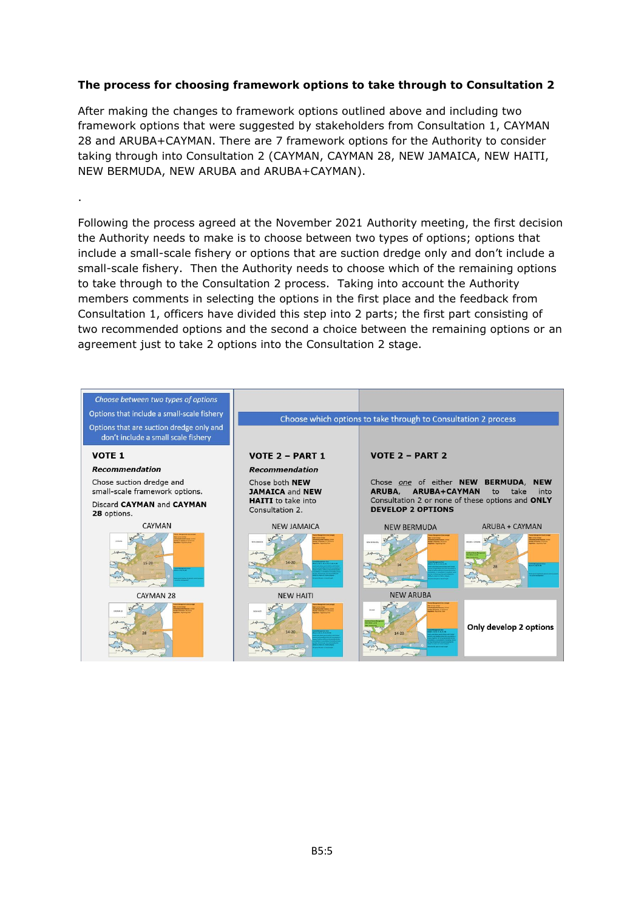# **The process for choosing framework options to take through to Consultation 2**

After making the changes to framework options outlined above and including two framework options that were suggested by stakeholders from Consultation 1, CAYMAN 28 and ARUBA+CAYMAN. There are 7 framework options for the Authority to consider taking through into Consultation 2 (CAYMAN, CAYMAN 28, NEW JAMAICA, NEW HAITI, NEW BERMUDA, NEW ARUBA and ARUBA+CAYMAN).

.

Following the process agreed at the November 2021 Authority meeting, the first decision the Authority needs to make is to choose between two types of options; options that include a small-scale fishery or options that are suction dredge only and don't include a small-scale fishery. Then the Authority needs to choose which of the remaining options to take through to the Consultation 2 process. Taking into account the Authority members comments in selecting the options in the first place and the feedback from Consultation 1, officers have divided this step into 2 parts; the first part consisting of two recommended options and the second a choice between the remaining options or an agreement just to take 2 options into the Consultation 2 stage.